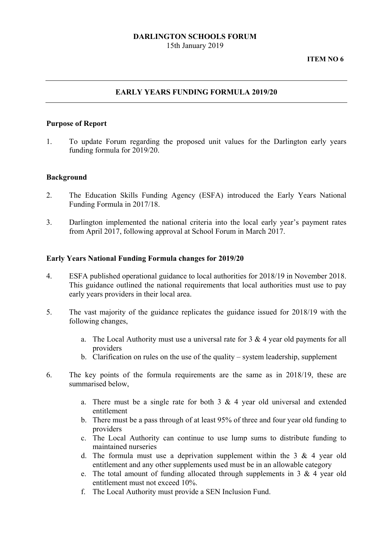### **DARLINGTON SCHOOLS FORUM**  15th January 2019

#### **ITEM NO 6**

# **EARLY YEARS FUNDING FORMULA 2019/20**

### **Purpose of Report**

1. To update Forum regarding the proposed unit values for the Darlington early years funding formula for 2019/20.

### **Background**

- 2. The Education Skills Funding Agency (ESFA) introduced the Early Years National Funding Formula in 2017/18.
- 3. Darlington implemented the national criteria into the local early year's payment rates from April 2017, following approval at School Forum in March 2017.

#### **Early Years National Funding Formula changes for 2019/20**

- 4. ESFA published operational guidance to local authorities for 2018/19 in November 2018. This guidance outlined the national requirements that local authorities must use to pay early years providers in their local area.
- 5. The vast majority of the guidance replicates the guidance issued for 2018/19 with the following changes,
	- a. The Local Authority must use a universal rate for  $3 \& 4$  year old payments for all providers
	- b. Clarification on rules on the use of the quality system leadership, supplement
- 6. The key points of the formula requirements are the same as in 2018/19, these are summarised below,
	- a. There must be a single rate for both  $3 \& 4$  year old universal and extended entitlement
	- b. There must be a pass through of at least 95% of three and four year old funding to providers
	- c. The Local Authority can continue to use lump sums to distribute funding to maintained nurseries
	- d. The formula must use a deprivation supplement within the  $3 \& 4$  year old entitlement and any other supplements used must be in an allowable category
	- e. The total amount of funding allocated through supplements in 3 & 4 year old entitlement must not exceed 10%.
	- f. The Local Authority must provide a SEN Inclusion Fund.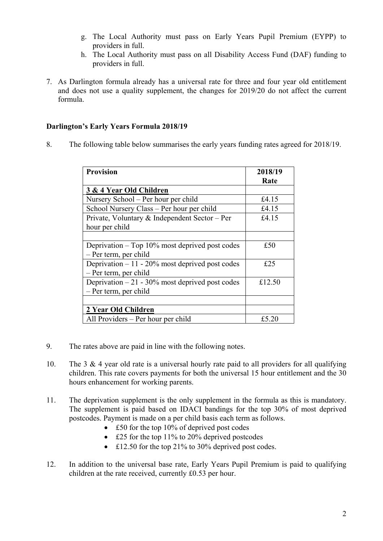- g. The Local Authority must pass on Early Years Pupil Premium (EYPP) to providers in full.
- h. The Local Authority must pass on all Disability Access Fund (DAF) funding to providers in full.
- 7. As Darlington formula already has a universal rate for three and four year old entitlement and does not use a quality supplement, the changes for 2019/20 do not affect the current formula.

# **Darlington's Early Years Formula 2018/19**

8. The following table below summarises the early years funding rates agreed for 2018/19.

| <b>Provision</b>                                  | 2018/19 |
|---------------------------------------------------|---------|
| 3 & 4 Year Old Children                           | Rate    |
|                                                   |         |
| Nursery School – Per hour per child               | £4.15   |
| School Nursery Class – Per hour per child         | £4.15   |
| Private, Voluntary & Independent Sector – Per     | £4.15   |
| hour per child                                    |         |
|                                                   |         |
| Deprivation $-$ Top 10% most deprived post codes  | £50     |
| - Per term, per child                             |         |
| Deprivation $-11 - 20\%$ most deprived post codes | £25     |
| - Per term, per child                             |         |
| Deprivation $-21 - 30\%$ most deprived post codes | £12.50  |
| $-$ Per term, per child                           |         |
|                                                   |         |
| 2 Year Old Children                               |         |
| All Providers – Per hour per child                | £5.20   |

- 9. The rates above are paid in line with the following notes.
- 10. The 3 & 4 year old rate is a universal hourly rate paid to all providers for all qualifying children. This rate covers payments for both the universal 15 hour entitlement and the 30 hours enhancement for working parents.
- 11. The deprivation supplement is the only supplement in the formula as this is mandatory. The supplement is paid based on IDACI bandings for the top 30% of most deprived postcodes. Payment is made on a per child basis each term as follows.
	- £50 for the top 10% of deprived post codes
	- £25 for the top 11% to 20% deprived postcodes
	- £12.50 for the top 21% to 30% deprived post codes.
- 12. In addition to the universal base rate, Early Years Pupil Premium is paid to qualifying children at the rate received, currently £0.53 per hour.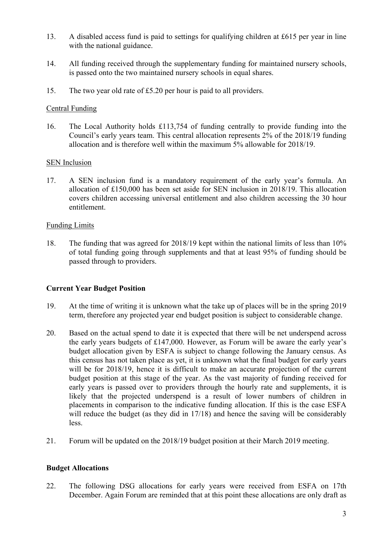- 13. A disabled access fund is paid to settings for qualifying children at £615 per year in line with the national guidance.
- 14. All funding received through the supplementary funding for maintained nursery schools, is passed onto the two maintained nursery schools in equal shares.
- 15. The two year old rate of £5.20 per hour is paid to all providers.

### Central Funding

16. The Local Authority holds £113,754 of funding centrally to provide funding into the Council's early years team. This central allocation represents 2% of the 2018/19 funding allocation and is therefore well within the maximum 5% allowable for 2018/19.

### SEN Inclusion

17. A SEN inclusion fund is a mandatory requirement of the early year's formula. An allocation of £150,000 has been set aside for SEN inclusion in 2018/19. This allocation covers children accessing universal entitlement and also children accessing the 30 hour entitlement.

### Funding Limits

18. The funding that was agreed for 2018/19 kept within the national limits of less than 10% of total funding going through supplements and that at least 95% of funding should be passed through to providers.

## **Current Year Budget Position**

- 19. At the time of writing it is unknown what the take up of places will be in the spring 2019 term, therefore any projected year end budget position is subject to considerable change.
- 20. Based on the actual spend to date it is expected that there will be net underspend across the early years budgets of £147,000. However, as Forum will be aware the early year's budget allocation given by ESFA is subject to change following the January census. As this census has not taken place as yet, it is unknown what the final budget for early years will be for 2018/19, hence it is difficult to make an accurate projection of the current budget position at this stage of the year. As the vast majority of funding received for early years is passed over to providers through the hourly rate and supplements, it is likely that the projected underspend is a result of lower numbers of children in placements in comparison to the indicative funding allocation. If this is the case ESFA will reduce the budget (as they did in 17/18) and hence the saving will be considerably less.
- 21. Forum will be updated on the 2018/19 budget position at their March 2019 meeting.

## **Budget Allocations**

22. The following DSG allocations for early years were received from ESFA on 17th December. Again Forum are reminded that at this point these allocations are only draft as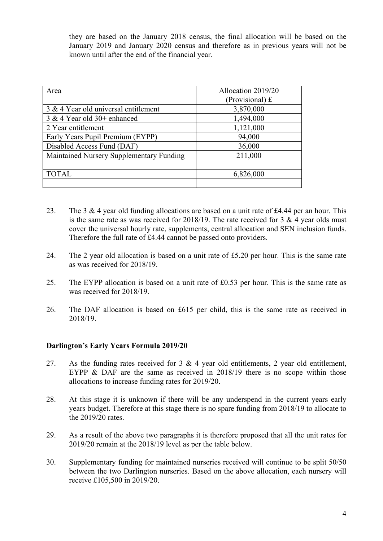they are based on the January 2018 census, the final allocation will be based on the January 2019 and January 2020 census and therefore as in previous years will not be known until after the end of the financial year.

| Area                                     | Allocation 2019/20<br>(Provisional) $f$ |  |
|------------------------------------------|-----------------------------------------|--|
|                                          |                                         |  |
| 3 & 4 Year old universal entitlement     | 3,870,000                               |  |
| $3 & 4$ Year old $30+$ enhanced          | 1,494,000                               |  |
| 2 Year entitlement                       | 1,121,000                               |  |
| Early Years Pupil Premium (EYPP)         | 94,000                                  |  |
| Disabled Access Fund (DAF)               | 36,000                                  |  |
| Maintained Nursery Supplementary Funding | 211,000                                 |  |
|                                          |                                         |  |
| <b>TOTAL</b>                             | 6,826,000                               |  |
|                                          |                                         |  |

- is the same rate as was received for 2018/19. The rate received for 3  $\&$  4 year olds must 23. The 3  $\&$  4 year old funding allocations are based on a unit rate of £4.44 per an hour. This cover the universal hourly rate, supplements, central allocation and SEN inclusion funds. Therefore the full rate of £4.44 cannot be passed onto providers.
- 24. The 2 year old allocation is based on a unit rate of £5.20 per hour. This is the same rate as was received for 2018/19.
- 25. The EYPP allocation is based on a unit rate of £0.53 per hour. This is the same rate as was received for 2018/19.
- 26. The DAF allocation is based on £615 per child, this is the same rate as received in 2018/19.

### **Darlington's Early Years Formula 2019/20**

- 27. As the funding rates received for 3 & 4 year old entitlements, 2 year old entitlement, EYPP & DAF are the same as received in 2018/19 there is no scope within those allocations to increase funding rates for 2019/20.
- 28. At this stage it is unknown if there will be any underspend in the current years early years budget. Therefore at this stage there is no spare funding from 2018/19 to allocate to the 2019/20 rates.
- 29. As a result of the above two paragraphs it is therefore proposed that all the unit rates for 2019/20 remain at the 2018/19 level as per the table below.
- 30. Supplementary funding for maintained nurseries received will continue to be split 50/50 between the two Darlington nurseries. Based on the above allocation, each nursery will receive £105,500 in 2019/20.